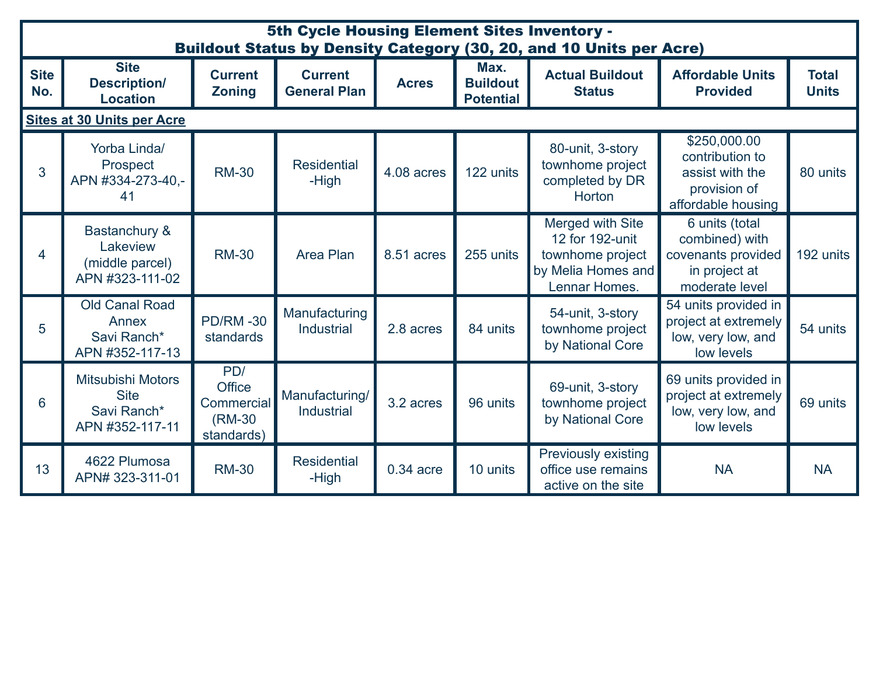| 5th Cycle Housing Element Sites Inventory -<br><b>Buildout Status by Density Category (30, 20, and 10 Units per Acre)</b> |                                                                            |                                                            |                                       |              |                                             |                                                                                                |                                                                                           |                              |  |
|---------------------------------------------------------------------------------------------------------------------------|----------------------------------------------------------------------------|------------------------------------------------------------|---------------------------------------|--------------|---------------------------------------------|------------------------------------------------------------------------------------------------|-------------------------------------------------------------------------------------------|------------------------------|--|
| <b>Site</b><br>No.                                                                                                        | <b>Site</b><br><b>Description/</b><br><b>Location</b>                      | <b>Current</b><br><b>Zoning</b>                            | <b>Current</b><br><b>General Plan</b> | <b>Acres</b> | Max.<br><b>Buildout</b><br><b>Potential</b> | <b>Actual Buildout</b><br><b>Status</b>                                                        | <b>Affordable Units</b><br><b>Provided</b>                                                | <b>Total</b><br><b>Units</b> |  |
|                                                                                                                           | <b>Sites at 30 Units per Acre</b>                                          |                                                            |                                       |              |                                             |                                                                                                |                                                                                           |                              |  |
| 3                                                                                                                         | Yorba Linda/<br>Prospect<br>APN #334-273-40,-<br>41                        | <b>RM-30</b>                                               | <b>Residential</b><br>-High           | 4.08 acres   | 122 units                                   | 80-unit, 3-story<br>townhome project<br>completed by DR<br><b>Horton</b>                       | \$250,000.00<br>contribution to<br>assist with the<br>provision of<br>affordable housing  | 80 units                     |  |
| 4                                                                                                                         | <b>Bastanchury &amp;</b><br>Lakeview<br>(middle parcel)<br>APN #323-111-02 | <b>RM-30</b>                                               | <b>Area Plan</b>                      | 8.51 acres   | 255 units                                   | Merged with Site<br>12 for 192-unit<br>townhome project<br>by Melia Homes and<br>Lennar Homes. | 6 units (total<br>combined) with<br>covenants provided<br>in project at<br>moderate level | 192 units                    |  |
| 5                                                                                                                         | <b>Old Canal Road</b><br>Annex<br>Savi Ranch*<br>APN #352-117-13           | <b>PD/RM-30</b><br>standards                               | Manufacturing<br><b>Industrial</b>    | 2.8 acres    | 84 units                                    | 54-unit, 3-story<br>townhome project<br>by National Core                                       | 54 units provided in<br>project at extremely<br>low, very low, and<br>low levels          | 54 units                     |  |
| $6\phantom{1}6$                                                                                                           | <b>Mitsubishi Motors</b><br><b>Site</b><br>Savi Ranch*<br>APN #352-117-11  | PD/<br><b>Office</b><br>Commercial<br>(RM-30<br>standards) | Manufacturing/<br><b>Industrial</b>   | 3.2 acres    | 96 units                                    | 69-unit, 3-story<br>townhome project<br>by National Core                                       | 69 units provided in<br>project at extremely<br>low, very low, and<br>low levels          | 69 units                     |  |
| 13                                                                                                                        | 4622 Plumosa<br>APN# 323-311-01                                            | <b>RM-30</b>                                               | <b>Residential</b><br>-High           | 0.34 acre    | 10 units                                    | <b>Previously existing</b><br>office use remains<br>active on the site                         | <b>NA</b>                                                                                 | <b>NA</b>                    |  |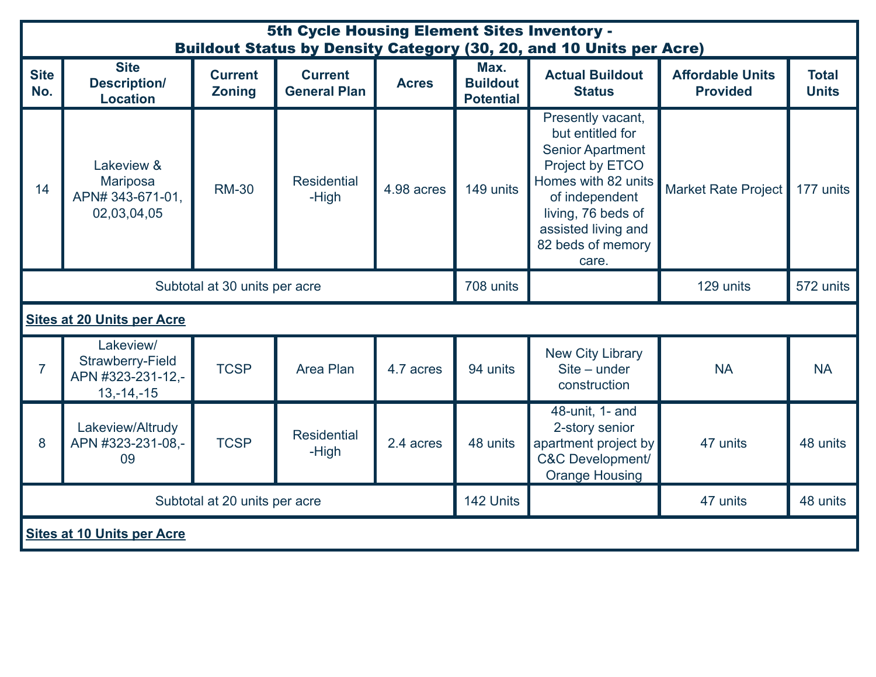| 5th Cycle Housing Element Sites Inventory -<br><b>Buildout Status by Density Category (30, 20, and 10 Units per Acre)</b> |                                                                           |                                 |                                       |              |                                             |                                                                                                                                                                                                         |                                            |                              |  |
|---------------------------------------------------------------------------------------------------------------------------|---------------------------------------------------------------------------|---------------------------------|---------------------------------------|--------------|---------------------------------------------|---------------------------------------------------------------------------------------------------------------------------------------------------------------------------------------------------------|--------------------------------------------|------------------------------|--|
| <b>Site</b><br>No.                                                                                                        | <b>Site</b><br><b>Description/</b><br><b>Location</b>                     | <b>Current</b><br><b>Zoning</b> | <b>Current</b><br><b>General Plan</b> | <b>Acres</b> | Max.<br><b>Buildout</b><br><b>Potential</b> | <b>Actual Buildout</b><br><b>Status</b>                                                                                                                                                                 | <b>Affordable Units</b><br><b>Provided</b> | <b>Total</b><br><b>Units</b> |  |
| 14                                                                                                                        | Lakeview &<br><b>Mariposa</b><br>APN# 343-671-01,<br>02,03,04,05          | <b>RM-30</b>                    | <b>Residential</b><br>-High           | 4.98 acres   | 149 units                                   | Presently vacant,<br>but entitled for<br><b>Senior Apartment</b><br>Project by ETCO<br>Homes with 82 units<br>of independent<br>living, 76 beds of<br>assisted living and<br>82 beds of memory<br>care. | <b>Market Rate Project</b>                 | 177 units                    |  |
| Subtotal at 30 units per acre                                                                                             |                                                                           |                                 |                                       |              | 708 units                                   |                                                                                                                                                                                                         | 129 units                                  | 572 units                    |  |
| <b>Sites at 20 Units per Acre</b>                                                                                         |                                                                           |                                 |                                       |              |                                             |                                                                                                                                                                                                         |                                            |                              |  |
| $\overline{7}$                                                                                                            | Lakeview/<br><b>Strawberry-Field</b><br>APN #323-231-12,-<br>$13,-14,-15$ | <b>TCSP</b>                     | Area Plan                             | 4.7 acres    | 94 units                                    | <b>New City Library</b><br>Site - under<br>construction                                                                                                                                                 | <b>NA</b>                                  | <b>NA</b>                    |  |
| 8                                                                                                                         | Lakeview/Altrudy<br>APN #323-231-08,-<br>09                               | <b>TCSP</b>                     | <b>Residential</b><br>-High           | 2.4 acres    | 48 units                                    | 48-unit, 1- and<br>2-story senior<br>apartment project by<br><b>C&amp;C Development/</b><br><b>Orange Housing</b>                                                                                       | 47 units                                   | 48 units                     |  |
| Subtotal at 20 units per acre                                                                                             |                                                                           |                                 |                                       |              | 142 Units                                   |                                                                                                                                                                                                         | 47 units                                   | 48 units                     |  |
| <b>Sites at 10 Units per Acre</b>                                                                                         |                                                                           |                                 |                                       |              |                                             |                                                                                                                                                                                                         |                                            |                              |  |